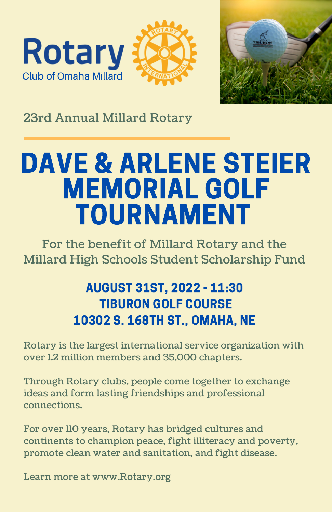



# 23rd Annual Millard Rotary

# DAVE & ARLENE STEIER MEMORIAL GOLF TOURNAMENT

For the benefit of Millard Rotary and the Millard High Schools Student Scholarship Fund

# AUGUST 31ST, 2022 - 11:30 TIBURON GOLF COURSE 10302 S. 168TH ST., OMAHA, NE

Rotary is the largest international service organization with over 1.2 million members and 35,000 chapters.

Through Rotary clubs, people come together to exchange ideas and form lasting friendships and professional connections.

For over 110 years, Rotary has bridged cultures and continents to champion peace, fight illiteracy and poverty, promote clean water and sanitation, and fight disease.

Learn more at www.Rotary.org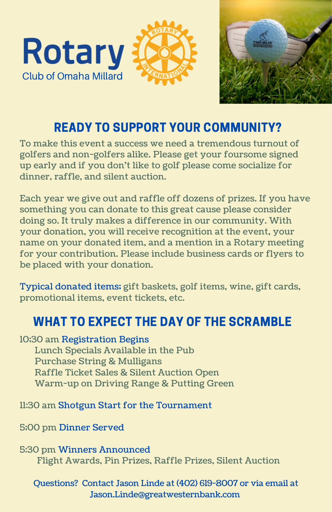



# READY TO SUPPORT YOUR COMMUNITY?

To make this event a success we need a tremendous turnout of golfers and non-golfers alike. Please get your foursome signed up early and if you don't like to golf please come socialize for dinner, raffle, and silent auction.

Each year we give out and raffle off dozens of prizes. If you have something you can donate to this great cause please consider doing so. It truly makes a difference in our community. With your donation, you will receive recognition at the event, your name on your donated item, and a mention in a Rotary meeting for your contribution. Please include business cards or flyers to be placed with your donation.

Typical donated items; gift baskets, golf items, wine, gift cards, promotional items, event tickets, etc.

# WHAT TO EXPECT THE DAY OF THE SCRAMBLE

10;30 am Registration Begins Lunch Specials Available in the Pub Purchase String & Mulligans Raffle Ticket Sales & Silent Auction Open Warm-up on Driving Range & Putting Green

11:30 am Shotgun Start for the Tournament

5;00 pm Dinner Served

5:30 pm Winners Announced Flight Awards, Pin Prizes, Raffle Prizes, Silent Auction

### Questions? Contact Jason Linde at (402) 619-8007 or via email at Jason.Linde@greatwesternbank.com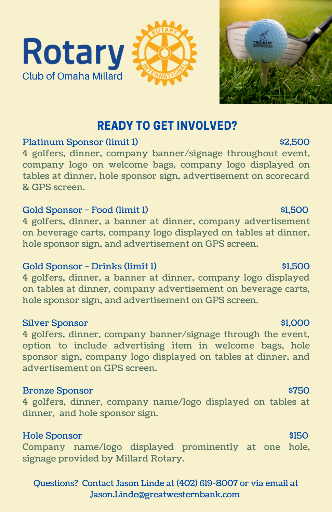





## READY TO GET INVOLVED?

#### Platinum Sponsor (limit 1) \$2,500

4 golfers, dinner, company banner/signage throughout event, company logo on welcome bags, company logo displayed on tables at dinner, hole sponsor sign, advertisement on scorecard & GPS screen.

### Gold Sponsor - Food (limit 1) \$1,500

4 golfers, dinner, a banner at dinner, company advertisement on beverage carts, company logo displayed on tables at dinner, hole sponsor sign, and advertisement on GPS screen.

### Gold Sponsor - Drinks (limit 1) \$1,500

4 golfers, dinner, a banner at dinner, company logo displayed on tables at dinner, company advertisement on beverage carts, hole sponsor sign, and advertisement on GPS screen.

### Silver Sponsor  $$1,000$

4 golfers, dinner, company banner/signage through the event, option to include advertising item in welcome bags, hole sponsor sign, company logo displayed on tables at dinner, and advertisement on GPS screen.

### Bronze Sponsor **\$750**

4 golfers, dinner, company name/logo displayed on tables at dinner, and hole sponsor sign.

### Hole Sponsor \$150

Company name/logo displayed prominently at one hole, signage provided by Millard Rotary.

### Questions? Contact Jason Linde at (402) 619-8007 or via email at Jason.Linde@greatwesternbank.com